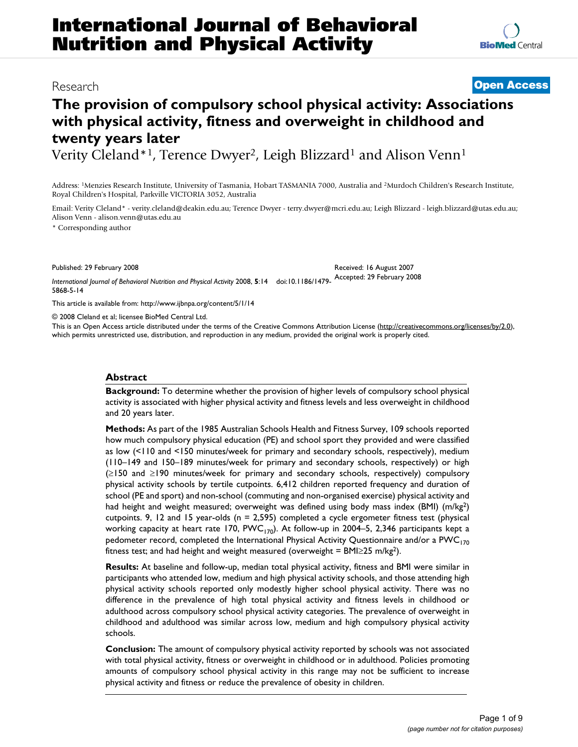# **The provision of compulsory school physical activity: Associations with physical activity, fitness and overweight in childhood and twenty years later**

Verity Cleland<sup>\*1</sup>, Terence Dwyer<sup>2</sup>, Leigh Blizzard<sup>1</sup> and Alison Venn<sup>1</sup>

Address: 1Menzies Research Institute, University of Tasmania, Hobart TASMANIA 7000, Australia and 2Murdoch Children's Research Institute, Royal Children's Hospital, Parkville VICTORIA 3052, Australia

Email: Verity Cleland\* - verity.cleland@deakin.edu.au; Terence Dwyer - terry.dwyer@mcri.edu.au; Leigh Blizzard - leigh.blizzard@utas.edu.au; Alison Venn - alison.venn@utas.edu.au

\* Corresponding author

Published: 29 February 2008

*International Journal of Behavioral Nutrition and Physical Activity* 2008, **5**:14 doi:10.1186/1479- Accepted: 29 February 2008 5868-5-14

[This article is available from: http://www.ijbnpa.org/content/5/1/14](http://www.ijbnpa.org/content/5/1/14)

© 2008 Cleland et al; licensee BioMed Central Ltd.

This is an Open Access article distributed under the terms of the Creative Commons Attribution License [\(http://creativecommons.org/licenses/by/2.0\)](http://creativecommons.org/licenses/by/2.0), which permits unrestricted use, distribution, and reproduction in any medium, provided the original work is properly cited.

#### **Abstract**

**Background:** To determine whether the provision of higher levels of compulsory school physical activity is associated with higher physical activity and fitness levels and less overweight in childhood and 20 years later.

**Methods:** As part of the 1985 Australian Schools Health and Fitness Survey, 109 schools reported how much compulsory physical education (PE) and school sport they provided and were classified as low (<110 and <150 minutes/week for primary and secondary schools, respectively), medium (110–149 and 150–189 minutes/week for primary and secondary schools, respectively) or high (≥150 and ≥190 minutes/week for primary and secondary schools, respectively) compulsory physical activity schools by tertile cutpoints. 6,412 children reported frequency and duration of school (PE and sport) and non-school (commuting and non-organised exercise) physical activity and had height and weight measured; overweight was defined using body mass index (BMI) (m/kg<sup>2</sup>) cutpoints. 9, 12 and 15 year-olds (n = 2,595) completed a cycle ergometer fitness test (physical working capacity at heart rate 170,  $PWC_{170}$ ). At follow-up in 2004–5, 2,346 participants kept a pedometer record, completed the International Physical Activity Questionnaire and/or a PWC<sub>170</sub> fitness test; and had height and weight measured (overweight = BMI $\geq$ 25 m/kg<sup>2</sup>).

**Results:** At baseline and follow-up, median total physical activity, fitness and BMI were similar in participants who attended low, medium and high physical activity schools, and those attending high physical activity schools reported only modestly higher school physical activity. There was no difference in the prevalence of high total physical activity and fitness levels in childhood or adulthood across compulsory school physical activity categories. The prevalence of overweight in childhood and adulthood was similar across low, medium and high compulsory physical activity schools.

**Conclusion:** The amount of compulsory physical activity reported by schools was not associated with total physical activity, fitness or overweight in childhood or in adulthood. Policies promoting amounts of compulsory school physical activity in this range may not be sufficient to increase physical activity and fitness or reduce the prevalence of obesity in children.

Research **[Open Access](http://www.biomedcentral.com/info/about/charter/)**

Received: 16 August 2007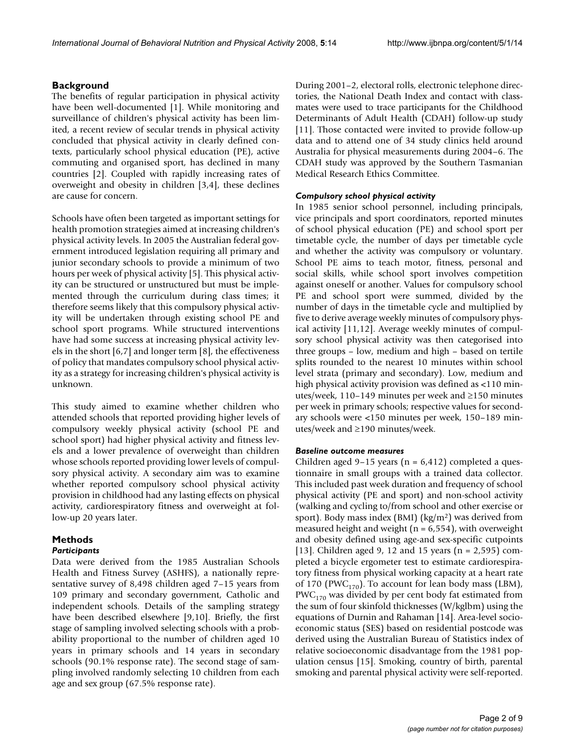# **Background**

The benefits of regular participation in physical activity have been well-documented [1]. While monitoring and surveillance of children's physical activity has been limited, a recent review of secular trends in physical activity concluded that physical activity in clearly defined contexts, particularly school physical education (PE), active commuting and organised sport, has declined in many countries [2]. Coupled with rapidly increasing rates of overweight and obesity in children [3,4], these declines are cause for concern.

Schools have often been targeted as important settings for health promotion strategies aimed at increasing children's physical activity levels. In 2005 the Australian federal government introduced legislation requiring all primary and junior secondary schools to provide a minimum of two hours per week of physical activity [5]. This physical activity can be structured or unstructured but must be implemented through the curriculum during class times; it therefore seems likely that this compulsory physical activity will be undertaken through existing school PE and school sport programs. While structured interventions have had some success at increasing physical activity levels in the short [6,7] and longer term [8], the effectiveness of policy that mandates compulsory school physical activity as a strategy for increasing children's physical activity is unknown.

This study aimed to examine whether children who attended schools that reported providing higher levels of compulsory weekly physical activity (school PE and school sport) had higher physical activity and fitness levels and a lower prevalence of overweight than children whose schools reported providing lower levels of compulsory physical activity. A secondary aim was to examine whether reported compulsory school physical activity provision in childhood had any lasting effects on physical activity, cardiorespiratory fitness and overweight at follow-up 20 years later.

# **Methods**

# *Participants*

Data were derived from the 1985 Australian Schools Health and Fitness Survey (ASHFS), a nationally representative survey of 8,498 children aged 7–15 years from 109 primary and secondary government, Catholic and independent schools. Details of the sampling strategy have been described elsewhere [9,10]. Briefly, the first stage of sampling involved selecting schools with a probability proportional to the number of children aged 10 years in primary schools and 14 years in secondary schools (90.1% response rate). The second stage of sampling involved randomly selecting 10 children from each age and sex group (67.5% response rate).

During 2001–2, electoral rolls, electronic telephone directories, the National Death Index and contact with classmates were used to trace participants for the Childhood Determinants of Adult Health (CDAH) follow-up study [11]. Those contacted were invited to provide follow-up data and to attend one of 34 study clinics held around Australia for physical measurements during 2004–6. The CDAH study was approved by the Southern Tasmanian Medical Research Ethics Committee.

# *Compulsory school physical activity*

In 1985 senior school personnel, including principals, vice principals and sport coordinators, reported minutes of school physical education (PE) and school sport per timetable cycle, the number of days per timetable cycle and whether the activity was compulsory or voluntary. School PE aims to teach motor, fitness, personal and social skills, while school sport involves competition against oneself or another. Values for compulsory school PE and school sport were summed, divided by the number of days in the timetable cycle and multiplied by five to derive average weekly minutes of compulsory physical activity [11,12]. Average weekly minutes of compulsory school physical activity was then categorised into three groups – low, medium and high – based on tertile splits rounded to the nearest 10 minutes within school level strata (primary and secondary). Low, medium and high physical activity provision was defined as <110 minutes/week, 110–149 minutes per week and ≥150 minutes per week in primary schools; respective values for secondary schools were <150 minutes per week, 150–189 minutes/week and ≥190 minutes/week.

# *Baseline outcome measures*

Children aged 9-15 years ( $n = 6,412$ ) completed a questionnaire in small groups with a trained data collector. This included past week duration and frequency of school physical activity (PE and sport) and non-school activity (walking and cycling to/from school and other exercise or sport). Body mass index (BMI) (kg/m2) was derived from measured height and weight ( $n = 6,554$ ), with overweight and obesity defined using age-and sex-specific cutpoints [13]. Children aged 9, 12 and 15 years (n = 2,595) completed a bicycle ergometer test to estimate cardiorespiratory fitness from physical working capacity at a heart rate of 170 (PWC<sub>170</sub>). To account for lean body mass (LBM),  $PWC_{170}$  was divided by per cent body fat estimated from the sum of four skinfold thicknesses (W/kglbm) using the equations of Durnin and Rahaman [14]. Area-level socioeconomic status (SES) based on residential postcode was derived using the Australian Bureau of Statistics index of relative socioeconomic disadvantage from the 1981 population census [15]. Smoking, country of birth, parental smoking and parental physical activity were self-reported.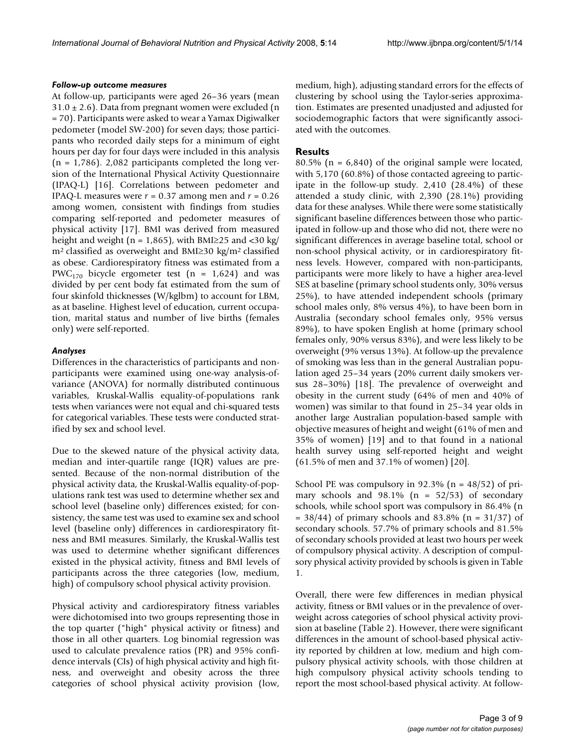#### *Follow-up outcome measures*

At follow-up, participants were aged 26–36 years (mean  $31.0 \pm 2.6$ ). Data from pregnant women were excluded (n = 70). Participants were asked to wear a Yamax Digiwalker pedometer (model SW-200) for seven days; those participants who recorded daily steps for a minimum of eight hours per day for four days were included in this analysis  $(n = 1,786)$ . 2,082 participants completed the long version of the International Physical Activity Questionnaire (IPAQ-L) [16]. Correlations between pedometer and IPAQ-L measures were  $r = 0.37$  among men and  $r = 0.26$ among women, consistent with findings from studies comparing self-reported and pedometer measures of physical activity [17]. BMI was derived from measured height and weight (n = 1,865), with BMI≥25 and <30 kg/ m2 classified as overweight and BMI≥30 kg/m2 classified as obese. Cardiorespiratory fitness was estimated from a PWC<sub>170</sub> bicycle ergometer test (n = 1,624) and was divided by per cent body fat estimated from the sum of four skinfold thicknesses (W/kglbm) to account for LBM, as at baseline. Highest level of education, current occupation, marital status and number of live births (females only) were self-reported.

# *Analyses*

Differences in the characteristics of participants and nonparticipants were examined using one-way analysis-ofvariance (ANOVA) for normally distributed continuous variables, Kruskal-Wallis equality-of-populations rank tests when variances were not equal and chi-squared tests for categorical variables. These tests were conducted stratified by sex and school level.

Due to the skewed nature of the physical activity data, median and inter-quartile range (IQR) values are presented. Because of the non-normal distribution of the physical activity data, the Kruskal-Wallis equality-of-populations rank test was used to determine whether sex and school level (baseline only) differences existed; for consistency, the same test was used to examine sex and school level (baseline only) differences in cardiorespiratory fitness and BMI measures. Similarly, the Kruskal-Wallis test was used to determine whether significant differences existed in the physical activity, fitness and BMI levels of participants across the three categories (low, medium, high) of compulsory school physical activity provision.

Physical activity and cardiorespiratory fitness variables were dichotomised into two groups representing those in the top quarter ("high" physical activity or fitness) and those in all other quarters. Log binomial regression was used to calculate prevalence ratios (PR) and 95% confidence intervals (CIs) of high physical activity and high fitness, and overweight and obesity across the three categories of school physical activity provision (low,

medium, high), adjusting standard errors for the effects of clustering by school using the Taylor-series approximation. Estimates are presented unadjusted and adjusted for sociodemographic factors that were significantly associated with the outcomes.

# **Results**

80.5% (n = 6,840) of the original sample were located, with 5,170 (60.8%) of those contacted agreeing to participate in the follow-up study. 2,410 (28.4%) of these attended a study clinic, with 2,390 (28.1%) providing data for these analyses. While there were some statistically significant baseline differences between those who participated in follow-up and those who did not, there were no significant differences in average baseline total, school or non-school physical activity, or in cardiorespiratory fitness levels. However, compared with non-participants, participants were more likely to have a higher area-level SES at baseline (primary school students only, 30% versus 25%), to have attended independent schools (primary school males only, 8% versus 4%), to have been born in Australia (secondary school females only, 95% versus 89%), to have spoken English at home (primary school females only, 90% versus 83%), and were less likely to be overweight (9% versus 13%). At follow-up the prevalence of smoking was less than in the general Australian population aged 25–34 years (20% current daily smokers versus 28–30%) [18]. The prevalence of overweight and obesity in the current study (64% of men and 40% of women) was similar to that found in 25–34 year olds in another large Australian population-based sample with objective measures of height and weight (61% of men and 35% of women) [19] and to that found in a national health survey using self-reported height and weight (61.5% of men and 37.1% of women) [20].

School PE was compulsory in  $92.3\%$  (n = 48/52) of primary schools and  $98.1\%$  (n = 52/53) of secondary schools, while school sport was compulsory in 86.4% (n  $= 38/44$ ) of primary schools and 83.8% (n = 31/37) of secondary schools. 57.7% of primary schools and 81.5% of secondary schools provided at least two hours per week of compulsory physical activity. A description of compulsory physical activity provided by schools is given in Table 1.

Overall, there were few differences in median physical activity, fitness or BMI values or in the prevalence of overweight across categories of school physical activity provision at baseline (Table 2). However, there were significant differences in the amount of school-based physical activity reported by children at low, medium and high compulsory physical activity schools, with those children at high compulsory physical activity schools tending to report the most school-based physical activity. At follow-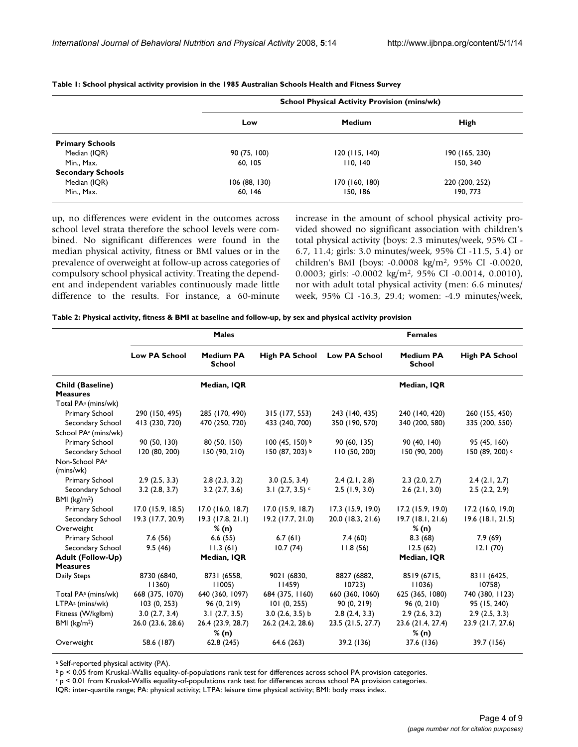|                          |              | <b>School Physical Activity Provision (mins/wk)</b> |                |  |  |  |  |  |
|--------------------------|--------------|-----------------------------------------------------|----------------|--|--|--|--|--|
|                          | Low          | <b>Medium</b>                                       | <b>High</b>    |  |  |  |  |  |
| <b>Primary Schools</b>   |              |                                                     |                |  |  |  |  |  |
| Median (IQR)             | 90 (75, 100) | 120(115, 140)                                       | 190 (165, 230) |  |  |  |  |  |
| Min., Max.               | 60, 105      | I I 0, 140                                          | 150, 340       |  |  |  |  |  |
| <b>Secondary Schools</b> |              |                                                     |                |  |  |  |  |  |
| Median (IQR)             | 106(88, 130) | 170 (160, 180)                                      | 220 (200, 252) |  |  |  |  |  |
| Min., Max.               | 60, 146      | 150, 186                                            | 190, 773       |  |  |  |  |  |

#### **Table 1: School physical activity provision in the 1985 Australian Schools Health and Fitness Survey**

up, no differences were evident in the outcomes across school level strata therefore the school levels were combined. No significant differences were found in the median physical activity, fitness or BMI values or in the prevalence of overweight at follow-up across categories of compulsory school physical activity. Treating the dependent and independent variables continuously made little difference to the results. For instance, a 60-minute increase in the amount of school physical activity provided showed no significant association with children's total physical activity (boys: 2.3 minutes/week, 95% CI - 6.7, 11.4; girls: 3.0 minutes/week, 95% CI -11.5, 5.4) or children's BMI (boys: -0.0008 kg/m2, 95% CI -0.0020, 0.0003; girls: -0.0002 kg/m2, 95% CI -0.0014, 0.0010), nor with adult total physical activity (men: 6.6 minutes/ week, 95% CI -16.3, 29.4; women: -4.9 minutes/week,

**Table 2: Physical activity, fitness & BMI at baseline and follow-up, by sex and physical activity provision**

|                                            |                                | <b>Males</b>                      |                                   | <b>Females</b>       |                            |                                |  |  |  |
|--------------------------------------------|--------------------------------|-----------------------------------|-----------------------------------|----------------------|----------------------------|--------------------------------|--|--|--|
|                                            | <b>Low PA School</b>           | <b>Medium PA</b><br>School        | <b>High PA School</b>             | <b>Low PA School</b> | <b>Medium PA</b><br>School | <b>High PA School</b>          |  |  |  |
| <b>Child (Baseline)</b><br><b>Measures</b> |                                | Median, IQR                       |                                   |                      | Median, IQR                |                                |  |  |  |
| Total PA <sup>a</sup> (mins/wk)            |                                |                                   |                                   |                      |                            |                                |  |  |  |
| Primary School                             | 290 (150, 495)                 | 285 (170, 490)                    | 315 (177, 553)                    | 243 (140, 435)       | 240 (140, 420)             | 260 (155, 450)                 |  |  |  |
| Secondary School                           | 413 (230, 720)                 | 470 (250, 720)                    | 433 (240, 700)                    | 350 (190, 570)       | 340 (200, 580)             | 335 (200, 550)                 |  |  |  |
| School PA <sup>a</sup> (mins/wk)           |                                |                                   |                                   |                      |                            |                                |  |  |  |
| Primary School                             | 90 (50, 130)                   | 80 (50, 150)                      | $100(45, 150)^{b}$                | 90(60, 135)          | 90 (40, 140)               | 95 (45, 160)                   |  |  |  |
| Secondary School                           | 120 (80, 200)                  | 150 (90, 210)                     | 150 (87, 203) b                   | 110 (50, 200)        | 150 (90, 200)              | 150 (89, 200) c                |  |  |  |
| Non-School PA <sup>a</sup>                 |                                |                                   |                                   |                      |                            |                                |  |  |  |
| (mins/wk)                                  |                                |                                   |                                   | 2.4(2.1, 2.8)        | 2.3(2.0, 2.7)              |                                |  |  |  |
| Primary School<br>Secondary School         | 2.9(2.5, 3.3)<br>3.2(2.8, 3.7) | 2.8(2.3, 3.2)<br>$3.2$ (2.7, 3.6) | 3.0(2.5, 3.4)<br>3.1 $(2.7, 3.5)$ | 2.5(1.9, 3.0)        | $2.6$ (2.1, 3.0)           | 2.4(2.1, 2.7)<br>2.5(2.2, 2.9) |  |  |  |
| BMI $(kg/m2)$                              |                                |                                   |                                   |                      |                            |                                |  |  |  |
| Primary School                             | $17.0$ (15.9, 18.5)            | $17.0$ (16.0, 18.7)               | $17.0$ (15.9, 18.7)               | $17.3$ (15.9, 19.0)  | 17.2 (15.9, 19.0)          | $17.2$ (16.0, 19.0)            |  |  |  |
| Secondary School                           | 19.3 (17.7, 20.9)              | $19.3$ (17.8, 21.1)               | $19.2$ (17.7, 21.0)               | 20.0 (18.3, 21.6)    | 19.7(18.1, 21.6)           | $19.6$ (18.1, 21.5)            |  |  |  |
| Overweight                                 |                                | % (n)                             |                                   |                      | % (n)                      |                                |  |  |  |
| Primary School                             | 7.6(56)                        | 6.6(55)                           | 6.7(61)                           | 7.4(60)              | 8.3(68)                    | 7.9(69)                        |  |  |  |
| Secondary School                           | 9.5(46)                        | 11.3(61)                          | 10.7(74)                          | 11.8(56)             | 12.5(62)                   | 12.1(70)                       |  |  |  |
| <b>Adult (Follow-Up)</b>                   |                                | Median, IQR                       |                                   |                      | Median, IQR                |                                |  |  |  |
| <b>Measures</b>                            |                                |                                   |                                   |                      |                            |                                |  |  |  |
| Daily Steps                                | 8730 (6840,<br>11360           | 8731 (6558,<br>11005              | 9021 (6830,<br>11459              | 8827 (6882,<br>10723 | 8519 (6715,<br>11036)      | 8311 (6425,<br>10758           |  |  |  |
| Total PA <sup>a</sup> (mins/wk)            | 668 (375, 1070)                | 640 (360, 1097)                   | 684 (375, 1160)                   | 660 (360, 1060)      | 625 (365, 1080)            | 740 (380, 1123)                |  |  |  |
| LTPA <sup>a</sup> (mins/wk)                | 103(0, 253)                    | 96 (0, 219)                       | 101(0, 255)                       | 90(0, 219)           | 96(0, 210)                 | 95 (15, 240)                   |  |  |  |
| Fitness (W/kglbm)                          | 3.0(2.7, 3.4)                  | 3.1(2.7, 3.5)                     | $3.0$ (2.6, 3.5) b                | 2.8(2.4, 3.3)        | 2.9(2.6, 3.2)              | 2.9(2.5, 3.3)                  |  |  |  |
| BMI $(kg/m2)$                              | 26.0 (23.6, 28.6)              | 26.4 (23.9, 28.7)                 | 26.2 (24.2, 28.6)                 | 23.5 (21.5, 27.7)    | 23.6 (21.4, 27.4)          | 23.9 (21.7, 27.6)              |  |  |  |
| Overweight                                 | 58.6 (187)                     | % (n)<br>62.8 (245)               | 64.6 (263)                        | 39.2 (136)           | % (n)<br>37.6 (136)        | 39.7 (156)                     |  |  |  |

a Self-reported physical activity (PA).

b p < 0.05 from Kruskal-Wallis equality-of-populations rank test for differences across school PA provision categories.

 $c$  p < 0.01 from Kruskal-Wallis equality-of-populations rank test for differences across school PA provision categories.

IQR: inter-quartile range; PA: physical activity; LTPA: leisure time physical activity; BMI: body mass index.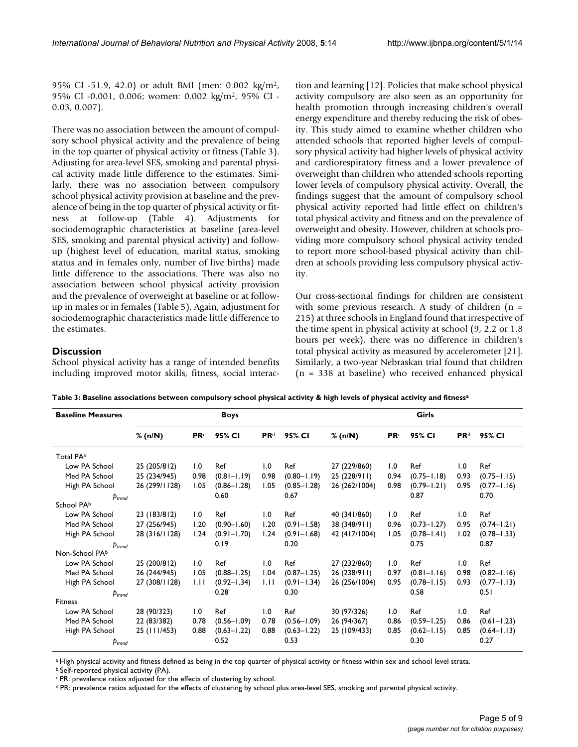95% CI -51.9, 42.0) or adult BMI (men: 0.002 kg/m2, 95% CI -0.001, 0.006; women: 0.002 kg/m2, 95% CI - 0.03, 0.007).

There was no association between the amount of compulsory school physical activity and the prevalence of being in the top quarter of physical activity or fitness (Table 3). Adjusting for area-level SES, smoking and parental physical activity made little difference to the estimates. Similarly, there was no association between compulsory school physical activity provision at baseline and the prevalence of being in the top quarter of physical activity or fitness at follow-up (Table 4). Adjustments for sociodemographic characteristics at baseline (area-level SES, smoking and parental physical activity) and followup (highest level of education, marital status, smoking status and in females only, number of live births) made little difference to the associations. There was also no association between school physical activity provision and the prevalence of overweight at baseline or at followup in males or in females (Table 5). Again, adjustment for sociodemographic characteristics made little difference to the estimates.

# **Discussion**

School physical activity has a range of intended benefits including improved motor skills, fitness, social interaction and learning [12]. Policies that make school physical activity compulsory are also seen as an opportunity for health promotion through increasing children's overall energy expenditure and thereby reducing the risk of obesity. This study aimed to examine whether children who attended schools that reported higher levels of compulsory physical activity had higher levels of physical activity and cardiorespiratory fitness and a lower prevalence of overweight than children who attended schools reporting lower levels of compulsory physical activity. Overall, the findings suggest that the amount of compulsory school physical activity reported had little effect on children's total physical activity and fitness and on the prevalence of overweight and obesity. However, children at schools providing more compulsory school physical activity tended to report more school-based physical activity than children at schools providing less compulsory physical activity.

Our cross-sectional findings for children are consistent with some previous research. A study of children  $(n =$ 215) at three schools in England found that irrespective of the time spent in physical activity at school (9, 2.2 or 1.8 hours per week), there was no difference in children's total physical activity as measured by accelerometer [21]. Similarly, a two-year Nebraskan trial found that children (n = 338 at baseline) who received enhanced physical

| Table 3: Baseline associations between compulsory school physical activity & high levels of physical activity and fitnessª |  |  |  |  |
|----------------------------------------------------------------------------------------------------------------------------|--|--|--|--|
|----------------------------------------------------------------------------------------------------------------------------|--|--|--|--|

| <b>Baseline Measures</b> |               |             | <b>Boys</b>     |                        |                 |               |             | Girls           |                        |                 |
|--------------------------|---------------|-------------|-----------------|------------------------|-----------------|---------------|-------------|-----------------|------------------------|-----------------|
|                          | % (n/N)       | <b>PR</b> c | 95% CI          | <b>PR</b> <sup>d</sup> | 95% CI          | % (n/N)       | <b>PR</b> c | 95% CI          | <b>PR</b> <sup>d</sup> | 95% CI          |
| Total PAb                |               |             |                 |                        |                 |               |             |                 |                        |                 |
| Low PA School            | 25 (205/812)  | 1.0         | Ref             | 1.0                    | Ref             | 27 (229/860)  | 1.0         | Ref             | 1.0                    | Ref             |
| Med PA School            | 25 (234/945)  | 0.98        | $(0.81 - 1.19)$ | 0.98                   | $(0.80 - 1.19)$ | 25 (228/911)  | 0.94        | $(0.75 - 1.18)$ | 0.93                   | $(0.75 - 1.15)$ |
| High PA School           | 26 (299/1128) | 1.05        | $(0.86 - 1.28)$ | 1.05                   | $(0.85 - 1.28)$ | 26 (262/1004) | 0.98        | $(0.79 - 1.21)$ | 0.95                   | $(0.77 - 1.16)$ |
| $p_{trend}$              |               |             | 0.60            |                        | 0.67            |               |             | 0.87            |                        | 0.70            |
| School PAb               |               |             |                 |                        |                 |               |             |                 |                        |                 |
| Low PA School            | 23 (183/812)  | 1.0         | Ref             | 1.0                    | Ref             | 40 (341/860)  | 1.0         | Ref             | 1.0                    | Ref             |
| Med PA School            | 27 (256/945)  | 1.20        | $(0.90 - 1.60)$ | 1.20                   | $(0.91 - 1.58)$ | 38 (348/911)  | 0.96        | $(0.73 - 1.27)$ | 0.95                   | $(0.74 - 1.21)$ |
| High PA School           | 28 (316/1128) | 1.24        | $(0.91 - 1.70)$ | 1.24                   | $(0.91 - 1.68)$ | 42 (417/1004) | 1.05        | $(0.78 - 1.41)$ | 1.02                   | $(0.78 - 1.33)$ |
| $p_{trend}$              |               |             | 0.19            |                        | 0.20            |               |             | 0.75            |                        | 0.87            |
| Non-School PAb           |               |             |                 |                        |                 |               |             |                 |                        |                 |
| Low PA School            | 25 (200/812)  | 1.0         | Ref             | 1.0                    | Ref             | 27 (232/860)  | 1.0         | Ref             | 1.0                    | Ref             |
| Med PA School            | 26 (244/945)  | 1.05        | $(0.88 - 1.25)$ | 1.04                   | $(0.87 - 1.25)$ | 26 (238/911)  | 0.97        | $(0.81 - 1.16)$ | 0.98                   | $(0.82 - 1.16)$ |
| High PA School           | 27 (308/1128) | 1.11        | $(0.92 - 1.34)$ | 1.11                   | $(0.91 - 1.34)$ | 26 (256/1004) | 0.95        | $(0.78 - 1.15)$ | 0.93                   | $(0.77 - 1.13)$ |
| $p_{trend}$              |               |             | 0.28            |                        | 0.30            |               |             | 0.58            |                        | 0.51            |
| Fitness                  |               |             |                 |                        |                 |               |             |                 |                        |                 |
| Low PA School            | 28 (90/323)   | 1.0         | Ref             | 1.0                    | Ref             | 30 (97/326)   | 1.0         | Ref             | 1.0                    | Ref             |
| Med PA School            | 22 (83/382)   | 0.78        | $(0.56 - 1.09)$ | 0.78                   | $(0.56 - 1.09)$ | 26 (94/367)   | 0.86        | $(0.59 - 1.25)$ | 0.86                   | $(0.61 - 1.23)$ |
| High PA School           | 25 (111/453)  | 0.88        | $(0.63 - 1.22)$ | 0.88                   | $(0.63 - 1.22)$ | 25 (109/433)  | 0.85        | $(0.62 - 1.15)$ | 0.85                   | $(0.64 - 1.13)$ |
| $p_{trend}$              |               |             | 0.52            |                        | 0.53            |               |             | 0.30            |                        | 0.27            |

a High physical activity and fitness defined as being in the top quarter of physical activity or fitness within sex and school level strata.

b Self-reported physical activity (PA).

c PR: prevalence ratios adjusted for the effects of clustering by school.

d PR: prevalence ratios adjusted for the effects of clustering by school plus area-level SES, smoking and parental physical activity.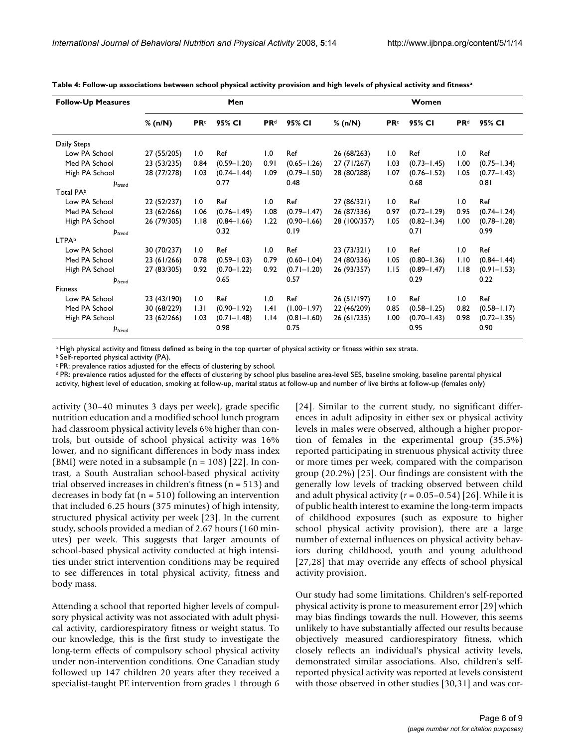| <b>Follow-Up Measures</b> |             |             | Men             |                 |                 |              |             | Women           |                 |                 |
|---------------------------|-------------|-------------|-----------------|-----------------|-----------------|--------------|-------------|-----------------|-----------------|-----------------|
|                           | % (n/N)     | <b>PR</b> c | 95% CI          | PR <sup>d</sup> | 95% CI          | % (n/N)      | <b>PR</b> c | 95% CI          | PR <sup>d</sup> | 95% CI          |
| Daily Steps               |             |             |                 |                 |                 |              |             |                 |                 |                 |
| Low PA School             | 27 (55/205) | 1.0         | Ref             | 1.0             | Ref             | 26 (68/263)  | 1.0         | Ref             | 1.0             | Ref             |
| Med PA School             | 23 (53/235) | 0.84        | $(0.59 - 1.20)$ | 0.91            | $(0.65 - 1.26)$ | 27 (71/267)  | 1.03        | $(0.73 - 1.45)$ | 00.1            | $(0.75 - 1.34)$ |
| High PA School            | 28 (77/278) | 1.03        | $(0.74 - 1.44)$ | 1.09            | $(0.79 - 1.50)$ | 28 (80/288)  | 1.07        | $(0.76 - 1.52)$ | 1.05            | $(0.77 - 1.43)$ |
| $p_{trend}$               |             |             | 0.77            |                 | 0.48            |              |             | 0.68            |                 | 0.81            |
| Total PAb                 |             |             |                 |                 |                 |              |             |                 |                 |                 |
| Low PA School             | 22 (52/237) | 1.0         | Ref             | 1.0             | Ref             | 27 (86/321)  | 1.0         | Ref             | 1.0             | Ref             |
| Med PA School             | 23 (62/266) | 1.06        | $(0.76 - 1.49)$ | 1.08            | $(0.79 - 1.47)$ | 26 (87/336)  | 0.97        | $(0.72 - 1.29)$ | 0.95            | $(0.74 - 1.24)$ |
| High PA School            | 26 (79/305) | 1.18        | $(0.84 - 1.66)$ | 1.22            | $(0.90 - 1.66)$ | 28 (100/357) | 1.05        | $(0.82 - 1.34)$ | 1.00            | $(0.78 - 1.28)$ |
| $p_{trend}$               |             |             | 0.32            |                 | 0.19            |              |             | 0.71            |                 | 0.99            |
| LTPAb                     |             |             |                 |                 |                 |              |             |                 |                 |                 |
| Low PA School             | 30 (70/237) | 1.0         | Ref             | 1.0             | Ref             | 23 (73/321)  | 1.0         | Ref             | 1.0             | Ref             |
| Med PA School             | 23 (61/266) | 0.78        | $(0.59 - 1.03)$ | 0.79            | $(0.60 - 1.04)$ | 24 (80/336)  | 1.05        | $(0.80 - 1.36)$ | 1.10            | $(0.84 - 1.44)$ |
| High PA School            | 27 (83/305) | 0.92        | $(0.70 - 1.22)$ | 0.92            | $(0.71 - 1.20)$ | 26 (93/357)  | 1.15        | $(0.89 - 1.47)$ | 1.18            | $(0.91 - 1.53)$ |
| $p_{trend}$               |             |             | 0.65            |                 | 0.57            |              |             | 0.29            |                 | 0.22            |
| <b>Fitness</b>            |             |             |                 |                 |                 |              |             |                 |                 |                 |
| Low PA School             | 23 (43/190) | 1.0         | Ref             | 1.0             | Ref             | 26 (51/197)  | 1.0         | Ref             | 1.0             | Ref             |
| Med PA School             | 30 (68/229) | 1.31        | $(0.90 - 1.92)$ | .4              | $(1.00 - 1.97)$ | 22 (46/209)  | 0.85        | $(0.58 - 1.25)$ | 0.82            | $(0.58 - 1.17)$ |
| High PA School            | 23 (62/266) | 1.03        | $(0.71 - 1.48)$ | 1.14            | $(0.81 - 1.60)$ | 26 (61/235)  | 1.00        | $(0.70 - 1.43)$ | 0.98            | $(0.72 - 1.35)$ |
| $p_{trend}$               |             |             | 0.98            |                 | 0.75            |              |             | 0.95            |                 | 0.90            |

**Table 4: Follow-up associations between school physical activity provision and high levels of physical activity and fitnessa**

a High physical activity and fitness defined as being in the top quarter of physical activity or fitness within sex strata.

b Self-reported physical activity (PA).

c PR: prevalence ratios adjusted for the effects of clustering by school.

d PR: prevalence ratios adjusted for the effects of clustering by school plus baseline area-level SES, baseline smoking, baseline parental physical activity, highest level of education, smoking at follow-up, marital status at follow-up and number of live births at follow-up (females only)

activity (30–40 minutes 3 days per week), grade specific nutrition education and a modified school lunch program had classroom physical activity levels 6% higher than controls, but outside of school physical activity was 16% lower, and no significant differences in body mass index (BMI) were noted in a subsample  $(n = 108)$  [22]. In contrast, a South Australian school-based physical activity trial observed increases in children's fitness (n = 513) and decreases in body fat ( $n = 510$ ) following an intervention that included 6.25 hours (375 minutes) of high intensity, structured physical activity per week [23]. In the current study, schools provided a median of 2.67 hours (160 minutes) per week. This suggests that larger amounts of school-based physical activity conducted at high intensities under strict intervention conditions may be required to see differences in total physical activity, fitness and body mass.

Attending a school that reported higher levels of compulsory physical activity was not associated with adult physical activity, cardiorespiratory fitness or weight status. To our knowledge, this is the first study to investigate the long-term effects of compulsory school physical activity under non-intervention conditions. One Canadian study followed up 147 children 20 years after they received a specialist-taught PE intervention from grades 1 through 6

[24]. Similar to the current study, no significant differences in adult adiposity in either sex or physical activity levels in males were observed, although a higher proportion of females in the experimental group (35.5%) reported participating in strenuous physical activity three or more times per week, compared with the comparison group (20.2%) [25]. Our findings are consistent with the generally low levels of tracking observed between child and adult physical activity  $(r = 0.05 - 0.54)$  [26]. While it is of public health interest to examine the long-term impacts of childhood exposures (such as exposure to higher school physical activity provision), there are a large number of external influences on physical activity behaviors during childhood, youth and young adulthood [27,28] that may override any effects of school physical activity provision.

Our study had some limitations. Children's self-reported physical activity is prone to measurement error [29] which may bias findings towards the null. However, this seems unlikely to have substantially affected our results because objectively measured cardiorespiratory fitness, which closely reflects an individual's physical activity levels, demonstrated similar associations. Also, children's selfreported physical activity was reported at levels consistent with those observed in other studies [30,31] and was cor-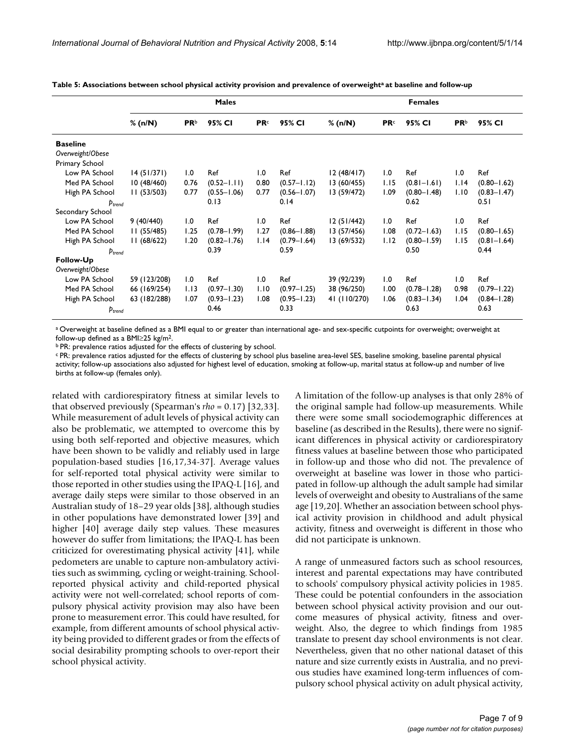|                                     | <b>Males</b> |             |                 |             |                 | <b>Females</b> |             |                 |             |                 |  |
|-------------------------------------|--------------|-------------|-----------------|-------------|-----------------|----------------|-------------|-----------------|-------------|-----------------|--|
|                                     | % (n/N)      | <b>PR</b> b | 95% CI          | <b>PR</b> c | 95% CI          | % (n/N)        | <b>PR</b> c | 95% CI          | <b>PR</b> b | 95% CI          |  |
| <b>Baseline</b><br>Overweight/Obese |              |             |                 |             |                 |                |             |                 |             |                 |  |
| Primary School                      |              |             |                 |             |                 |                |             |                 |             |                 |  |
| Low PA School                       | 14(51/371)   | 1.0         | Ref             | 1.0         | Ref             | 12(48/417)     | 1.0         | Ref             | 1.0         | Ref             |  |
| Med PA School                       | 10(48/460)   | 0.76        | $(0.52 - 1.11)$ | 0.80        | $(0.57 - 1.12)$ | 13 (60/455)    | 1.15        | $(0.81 - 1.61)$ | 1.14        | $(0.80 - 1.62)$ |  |
| High PA School                      | 11(53/503)   | 0.77        | $(0.55 - 1.06)$ | 0.77        | $(0.56 - 1.07)$ | 13 (59/472)    | 1.09        | $(0.80 - 1.48)$ | 1.10        | $(0.83 - 1.47)$ |  |
| $p_{trend}$                         |              |             | 0.13            |             | 0.14            |                |             | 0.62            |             | 0.51            |  |
| Secondary School                    |              |             |                 |             |                 |                |             |                 |             |                 |  |
| Low PA School                       | 9(40/440)    | 1.0         | Ref             | 1.0         | Ref             | 12(51/442)     | 1.0         | Ref             | 1.0         | Ref             |  |
| Med PA School                       | 11(55/485)   | 1.25        | $(0.78 - 1.99)$ | 1.27        | $(0.86 - 1.88)$ | 13 (57/456)    | 1.08        | $(0.72 - 1.63)$ | 1.15        | $(0.80 - 1.65)$ |  |
| High PA School                      | 11(68/622)   | 1.20        | $(0.82 - 1.76)$ | 1.14        | $(0.79 - 1.64)$ | 13 (69/532)    | 1.12        | $(0.80 - 1.59)$ | 1.15        | $(0.81 - 1.64)$ |  |
| $p_{trend}$                         |              |             | 0.39            |             | 0.59            |                |             | 0.50            |             | 0.44            |  |
| Follow-Up                           |              |             |                 |             |                 |                |             |                 |             |                 |  |
| Overweight/Obese                    |              |             |                 |             |                 |                |             |                 |             |                 |  |
| Low PA School                       | 59 (123/208) | 1.0         | Ref             | 1.0         | Ref             | 39 (92/239)    | 1.0         | Ref             | 1.0         | Ref             |  |
| Med PA School                       | 66 (169/254) | 1.13        | $(0.97 - 1.30)$ | 1.10        | $(0.97 - 1.25)$ | 38 (96/250)    | 1.00        | $(0.78 - 1.28)$ | 0.98        | $(0.79 - 1.22)$ |  |
| High PA School                      | 63 (182/288) | 1.07        | $(0.93 - 1.23)$ | 1.08        | $(0.95 - 1.23)$ | 41 (110/270)   | 1.06        | $(0.83 - 1.34)$ | 1.04        | $(0.84 - 1.28)$ |  |
| $p_{trend}$                         |              |             | 0.46            |             | 0.33            |                |             | 0.63            |             | 0.63            |  |

Table 5: Associations between school physical activity provision and prevalence of overweight<sup>a</sup> at baseline and follow-up

a Overweight at baseline defined as a BMI equal to or greater than international age- and sex-specific cutpoints for overweight; overweight at follow-up defined as a BMI≥25 kg/m2.

b PR: prevalence ratios adjusted for the effects of clustering by school.

c PR: prevalence ratios adjusted for the effects of clustering by school plus baseline area-level SES, baseline smoking, baseline parental physical activity; follow-up associations also adjusted for highest level of education, smoking at follow-up, marital status at follow-up and number of live births at follow-up (females only).

related with cardiorespiratory fitness at similar levels to that observed previously (Spearman's *rho* = 0.17) [32,33]. While measurement of adult levels of physical activity can also be problematic, we attempted to overcome this by using both self-reported and objective measures, which have been shown to be validly and reliably used in large population-based studies [16,17,34-37]. Average values for self-reported total physical activity were similar to those reported in other studies using the IPAQ-L [16], and average daily steps were similar to those observed in an Australian study of 18–29 year olds [38], although studies in other populations have demonstrated lower [39] and higher [40] average daily step values. These measures however do suffer from limitations; the IPAQ-L has been criticized for overestimating physical activity [41], while pedometers are unable to capture non-ambulatory activities such as swimming, cycling or weight-training. Schoolreported physical activity and child-reported physical activity were not well-correlated; school reports of compulsory physical activity provision may also have been prone to measurement error. This could have resulted, for example, from different amounts of school physical activity being provided to different grades or from the effects of social desirability prompting schools to over-report their school physical activity.

A limitation of the follow-up analyses is that only 28% of the original sample had follow-up measurements. While there were some small sociodemographic differences at baseline (as described in the Results), there were no significant differences in physical activity or cardiorespiratory fitness values at baseline between those who participated in follow-up and those who did not. The prevalence of overweight at baseline was lower in those who participated in follow-up although the adult sample had similar levels of overweight and obesity to Australians of the same age [19,20]. Whether an association between school physical activity provision in childhood and adult physical activity, fitness and overweight is different in those who did not participate is unknown.

A range of unmeasured factors such as school resources, interest and parental expectations may have contributed to schools' compulsory physical activity policies in 1985. These could be potential confounders in the association between school physical activity provision and our outcome measures of physical activity, fitness and overweight. Also, the degree to which findings from 1985 translate to present day school environments is not clear. Nevertheless, given that no other national dataset of this nature and size currently exists in Australia, and no previous studies have examined long-term influences of compulsory school physical activity on adult physical activity,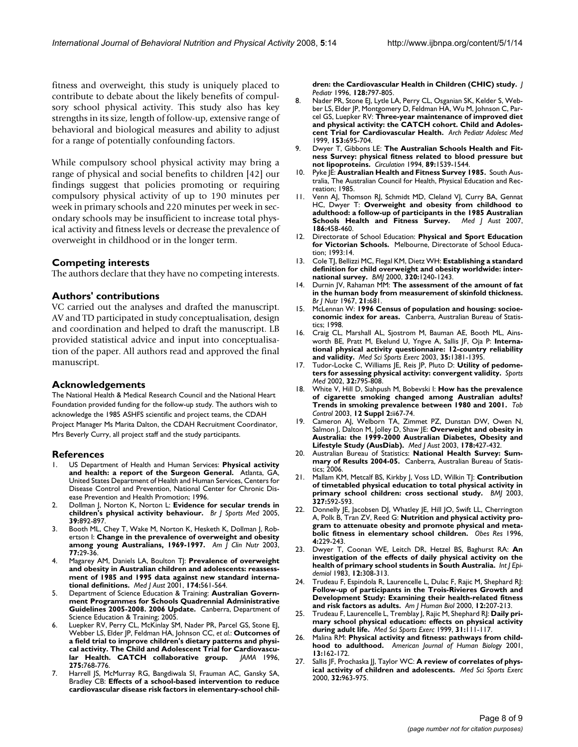fitness and overweight, this study is uniquely placed to contribute to debate about the likely benefits of compulsory school physical activity. This study also has key strengths in its size, length of follow-up, extensive range of behavioral and biological measures and ability to adjust for a range of potentially confounding factors.

While compulsory school physical activity may bring a range of physical and social benefits to children [42] our findings suggest that policies promoting or requiring compulsory physical activity of up to 190 minutes per week in primary schools and 220 minutes per week in secondary schools may be insufficient to increase total physical activity and fitness levels or decrease the prevalence of overweight in childhood or in the longer term.

#### **Competing interests**

The authors declare that they have no competing interests.

#### **Authors' contributions**

VC carried out the analyses and drafted the manuscript. AV and TD participated in study conceptualisation, design and coordination and helped to draft the manuscript. LB provided statistical advice and input into conceptualisation of the paper. All authors read and approved the final manuscript.

#### **Acknowledgements**

The National Health & Medical Research Council and the National Heart Foundation provided funding for the follow-up study. The authors wish to acknowledge the 1985 ASHFS scientific and project teams, the CDAH Project Manager Ms Marita Dalton, the CDAH Recruitment Coordinator, Mrs Beverly Curry, all project staff and the study participants.

#### **References**

- 1. US Department of Health and Human Services: **Physical activity and health: a report of the Surgeon General.** Atlanta, GA, United States Department of Health and Human Services, Centers for Disease Control and Prevention, National Center for Chronic Disease Prevention and Health Promotion; 1996.
- 2. Dollman J, Norton K, Norton L: **[Evidence for secular trends in](http://www.ncbi.nlm.nih.gov/entrez/query.fcgi?cmd=Retrieve&db=PubMed&dopt=Abstract&list_uids=16306494) [children's physical activity behaviour.](http://www.ncbi.nlm.nih.gov/entrez/query.fcgi?cmd=Retrieve&db=PubMed&dopt=Abstract&list_uids=16306494)** *Br J Sports Med* 2005, **39:**892-897.
- 3. Booth ML, Chey T, Wake M, Norton K, Hesketh K, Dollman J, Robertson I: **[Change in the prevalence of overweight and obesity](http://www.ncbi.nlm.nih.gov/entrez/query.fcgi?cmd=Retrieve&db=PubMed&dopt=Abstract&list_uids=12499319) [among young Australians, 1969-1997.](http://www.ncbi.nlm.nih.gov/entrez/query.fcgi?cmd=Retrieve&db=PubMed&dopt=Abstract&list_uids=12499319)** *Am J Clin Nutr* 2003, **77:**29-36.
- 4. Magarey AM, Daniels LA, Boulton TJ: **[Prevalence of overweight](http://www.ncbi.nlm.nih.gov/entrez/query.fcgi?cmd=Retrieve&db=PubMed&dopt=Abstract&list_uids=11453327) [and obesity in Australian children and adolescents: reassess](http://www.ncbi.nlm.nih.gov/entrez/query.fcgi?cmd=Retrieve&db=PubMed&dopt=Abstract&list_uids=11453327)ment of 1985 and 1995 data against new standard interna[tional definitions.](http://www.ncbi.nlm.nih.gov/entrez/query.fcgi?cmd=Retrieve&db=PubMed&dopt=Abstract&list_uids=11453327)** *Med J Aust* 2001, **174:**561-564.
- 5. Department of Science Education & Training: **Australian Government Programmes for Schools Quadrennial Administrative Guidelines 2005-2008. 2006 Update.** Canberra, Department of Science Education & Training; 2005.
- 6. Luepker RV, Perry CL, McKinlay SM, Nader PR, Parcel GS, Stone EJ, Webber LS, Elder JP, Feldman HA, Johnson CC, *et al.*: **[Outcomes of](http://www.ncbi.nlm.nih.gov/entrez/query.fcgi?cmd=Retrieve&db=PubMed&dopt=Abstract&list_uids=8598593) [a field trial to improve children's dietary patterns and physi](http://www.ncbi.nlm.nih.gov/entrez/query.fcgi?cmd=Retrieve&db=PubMed&dopt=Abstract&list_uids=8598593)cal activity. The Child and Adolescent Trial for Cardiovascu[lar Health. CATCH collaborative group.](http://www.ncbi.nlm.nih.gov/entrez/query.fcgi?cmd=Retrieve&db=PubMed&dopt=Abstract&list_uids=8598593)** *JAMA* 1996, **275:**768-776.
- 7. Harrell JS, McMurray RG, Bangdiwala SI, Frauman AC, Gansky SA, Bradley CB: **[Effects of a school-based intervention to reduce](http://www.ncbi.nlm.nih.gov/entrez/query.fcgi?cmd=Retrieve&db=PubMed&dopt=Abstract&list_uids=8648539) [cardiovascular disease risk factors in elementary-school chil-](http://www.ncbi.nlm.nih.gov/entrez/query.fcgi?cmd=Retrieve&db=PubMed&dopt=Abstract&list_uids=8648539)**

**[dren: the Cardiovascular Health in Children \(CHIC\) study.](http://www.ncbi.nlm.nih.gov/entrez/query.fcgi?cmd=Retrieve&db=PubMed&dopt=Abstract&list_uids=8648539)** *J Pediatr* 1996, **128:**797-805.

- 8. Nader PR, Stone EJ, Lytle LA, Perry CL, Osganian SK, Kelder S, Webber LS, Elder JP, Montgomery D, Feldman HA, Wu M, Johnson C, Parcel GS, Luepker RV: **[Three-year maintenance of improved diet](http://www.ncbi.nlm.nih.gov/entrez/query.fcgi?cmd=Retrieve&db=PubMed&dopt=Abstract&list_uids=10401802) [and physical activity: the CATCH cohort. Child and Adoles](http://www.ncbi.nlm.nih.gov/entrez/query.fcgi?cmd=Retrieve&db=PubMed&dopt=Abstract&list_uids=10401802)[cent Trial for Cardiovascular Health.](http://www.ncbi.nlm.nih.gov/entrez/query.fcgi?cmd=Retrieve&db=PubMed&dopt=Abstract&list_uids=10401802)** *Arch Pediatr Adolesc Med* 1999, **153:**695-704.
- 9. Dwyer T, Gibbons LE: **[The Australian Schools Health and Fit](http://www.ncbi.nlm.nih.gov/entrez/query.fcgi?cmd=Retrieve&db=PubMed&dopt=Abstract&list_uids=8149519)[ness Survey: physical fitness related to blood pressure but](http://www.ncbi.nlm.nih.gov/entrez/query.fcgi?cmd=Retrieve&db=PubMed&dopt=Abstract&list_uids=8149519) [not lipoproteins.](http://www.ncbi.nlm.nih.gov/entrez/query.fcgi?cmd=Retrieve&db=PubMed&dopt=Abstract&list_uids=8149519)** *Circulation* 1994, **89:**1539-1544.
- 10. Pyke JE: **Australian Health and Fitness Survey 1985.** South Australia, The Australian Council for Health, Physical Education and Recreation; 1985.
- 11. Venn AJ, Thomson RJ, Schmidt MD, Cleland VJ, Curry BA, Gennat HC, Dwyer T: **[Overweight and obesity from childhood to](http://www.ncbi.nlm.nih.gov/entrez/query.fcgi?cmd=Retrieve&db=PubMed&dopt=Abstract&list_uids=17484707) [adulthood: a follow-up of participants in the 1985 Australian](http://www.ncbi.nlm.nih.gov/entrez/query.fcgi?cmd=Retrieve&db=PubMed&dopt=Abstract&list_uids=17484707) [Schools Health and Fitness Survey.](http://www.ncbi.nlm.nih.gov/entrez/query.fcgi?cmd=Retrieve&db=PubMed&dopt=Abstract&list_uids=17484707)** *Med J Aust* 2007, **186:**458-460.
- 12. Directorate of School Education: **Physical and Sport Education for Victorian Schools.** Melbourne, Directorate of School Education; 1993:14.
- 13. Cole TJ, Bellizzi MC, Flegal KM, Dietz WH: **[Establishing a standard](http://www.ncbi.nlm.nih.gov/entrez/query.fcgi?cmd=Retrieve&db=PubMed&dopt=Abstract&list_uids=10797032) [definition for child overweight and obesity worldwide: inter](http://www.ncbi.nlm.nih.gov/entrez/query.fcgi?cmd=Retrieve&db=PubMed&dopt=Abstract&list_uids=10797032)[national survey.](http://www.ncbi.nlm.nih.gov/entrez/query.fcgi?cmd=Retrieve&db=PubMed&dopt=Abstract&list_uids=10797032)** *BMJ* 2000, **320:**1240-1243.
- 14. Durnin JV, Rahaman MM: **[The assessment of the amount of fat](http://www.ncbi.nlm.nih.gov/entrez/query.fcgi?cmd=Retrieve&db=PubMed&dopt=Abstract&list_uids=6052883) [in the human body from measurement of skinfold thickness.](http://www.ncbi.nlm.nih.gov/entrez/query.fcgi?cmd=Retrieve&db=PubMed&dopt=Abstract&list_uids=6052883)** *Br J Nutr* 1967, **21:**681.
- 15. McLennan W: **1996 Census of population and housing: socioeconomic index for areas.** Canberra, Australian Bureau of Statistics; 1998.
- 16. Craig CL, Marshall AL, Sjostrom M, Bauman AE, Booth ML, Ainsworth BE, Pratt M, Ekelund U, Yngve A, Sallis JF, Oja P: **[Interna](http://www.ncbi.nlm.nih.gov/entrez/query.fcgi?cmd=Retrieve&db=PubMed&dopt=Abstract&list_uids=12900694)[tional physical activity questionnaire: 12-country reliability](http://www.ncbi.nlm.nih.gov/entrez/query.fcgi?cmd=Retrieve&db=PubMed&dopt=Abstract&list_uids=12900694) [and validity.](http://www.ncbi.nlm.nih.gov/entrez/query.fcgi?cmd=Retrieve&db=PubMed&dopt=Abstract&list_uids=12900694)** *Med Sci Sports Exerc* 2003, **35:**1381-1395.
- 17. Tudor-Locke C, Williams JE, Reis JP, Pluto D: [Utility of pedome](http://www.ncbi.nlm.nih.gov/entrez/query.fcgi?cmd=Retrieve&db=PubMed&dopt=Abstract&list_uids=12238942)**[ters for assessing physical activity: convergent validity.](http://www.ncbi.nlm.nih.gov/entrez/query.fcgi?cmd=Retrieve&db=PubMed&dopt=Abstract&list_uids=12238942)** *Sports Med* 2002, **32:**795-808.
- 18. White V, Hill D, Siahpush M, Bobevski I: **[How has the prevalence](http://www.ncbi.nlm.nih.gov/entrez/query.fcgi?cmd=Retrieve&db=PubMed&dopt=Abstract&list_uids=12878776) [of cigarette smoking changed among Australian adults?](http://www.ncbi.nlm.nih.gov/entrez/query.fcgi?cmd=Retrieve&db=PubMed&dopt=Abstract&list_uids=12878776) [Trends in smoking prevalence between 1980 and 2001.](http://www.ncbi.nlm.nih.gov/entrez/query.fcgi?cmd=Retrieve&db=PubMed&dopt=Abstract&list_uids=12878776)** *Tob Control* 2003, **12 Suppl 2:**ii67-74.
- 19. Cameron AJ, Welborn TA, Zimmet PZ, Dunstan DW, Owen N, Salmon J, Dalton M, Jolley D, Shaw JE: **[Overweight and obesity in](http://www.ncbi.nlm.nih.gov/entrez/query.fcgi?cmd=Retrieve&db=PubMed&dopt=Abstract&list_uids=12720507) [Australia: the 1999-2000 Australian Diabetes, Obesity and](http://www.ncbi.nlm.nih.gov/entrez/query.fcgi?cmd=Retrieve&db=PubMed&dopt=Abstract&list_uids=12720507) [Lifestyle Study \(AusDiab\).](http://www.ncbi.nlm.nih.gov/entrez/query.fcgi?cmd=Retrieve&db=PubMed&dopt=Abstract&list_uids=12720507)** *Med J Aust* 2003, **178:**427-432.
- 20. Australian Bureau of Statistics: **National Health Survey: Summary of Results 2004-05.** Canberra, Australian Bureau of Statistics; 2006.
- 21. Mallam KM, Metcalf BS, Kirkby J, Voss LD, Wilkin TJ: **[Contribution](http://www.ncbi.nlm.nih.gov/entrez/query.fcgi?cmd=Retrieve&db=PubMed&dopt=Abstract&list_uids=12969924) [of timetabled physical education to total physical activity in](http://www.ncbi.nlm.nih.gov/entrez/query.fcgi?cmd=Retrieve&db=PubMed&dopt=Abstract&list_uids=12969924) [primary school children: cross sectional study.](http://www.ncbi.nlm.nih.gov/entrez/query.fcgi?cmd=Retrieve&db=PubMed&dopt=Abstract&list_uids=12969924)** *BMJ* 2003, **327:**592-593.
- 22. Donnelly JE, Jacobsen DJ, Whatley JE, Hill JO, Swift LL, Cherrington A, Polk B, Tran ZV, Reed G: **[Nutrition and physical activity pro](http://www.ncbi.nlm.nih.gov/entrez/query.fcgi?cmd=Retrieve&db=PubMed&dopt=Abstract&list_uids=8732957)[gram to attenuate obesity and promote physical and meta](http://www.ncbi.nlm.nih.gov/entrez/query.fcgi?cmd=Retrieve&db=PubMed&dopt=Abstract&list_uids=8732957)[bolic fitness in elementary school children.](http://www.ncbi.nlm.nih.gov/entrez/query.fcgi?cmd=Retrieve&db=PubMed&dopt=Abstract&list_uids=8732957)** *Obes Res* 1996, **4:**229-243.
- 23. Dwyer T, Coonan WE, Leitch DR, Hetzel BS, Baghurst RA: **[An](http://www.ncbi.nlm.nih.gov/entrez/query.fcgi?cmd=Retrieve&db=PubMed&dopt=Abstract&list_uids=6629620) [investigation of the effects of daily physical activity on the](http://www.ncbi.nlm.nih.gov/entrez/query.fcgi?cmd=Retrieve&db=PubMed&dopt=Abstract&list_uids=6629620) [health of primary school students in South Australia.](http://www.ncbi.nlm.nih.gov/entrez/query.fcgi?cmd=Retrieve&db=PubMed&dopt=Abstract&list_uids=6629620)** *Int J Epidemiol* 1983, **12:**308-313.
- Trudeau F, Espindola R, Laurencelle L, Dulac F, Rajic M, Shephard RJ: **Follow-up of participants in the Trois-Rivieres Growth and Development Study: Examining their health-related fitness and risk factors as adults.** *Am J Human Biol* 2000, **12:**207-213.
- 25. Trudeau F, Laurencelle L, Tremblay J, Rajic M, Shephard RJ: **[Daily pri](http://www.ncbi.nlm.nih.gov/entrez/query.fcgi?cmd=Retrieve&db=PubMed&dopt=Abstract&list_uids=9927018)[mary school physical education: effects on physical activity](http://www.ncbi.nlm.nih.gov/entrez/query.fcgi?cmd=Retrieve&db=PubMed&dopt=Abstract&list_uids=9927018) [during adult life.](http://www.ncbi.nlm.nih.gov/entrez/query.fcgi?cmd=Retrieve&db=PubMed&dopt=Abstract&list_uids=9927018)** *Med Sci Sports Exerc* 1999, **31:**111-117.
- 26. Malina RM: **[Physical activity and fitness: pathways from child](http://www.ncbi.nlm.nih.gov/entrez/query.fcgi?cmd=Retrieve&db=PubMed&dopt=Abstract&list_uids=11460860)[hood to adulthood.](http://www.ncbi.nlm.nih.gov/entrez/query.fcgi?cmd=Retrieve&db=PubMed&dopt=Abstract&list_uids=11460860)** *American Journal of Human Biology* 2001, **13:**162-172.
- Sallis JF, Prochaska JJ, Taylor WC: [A review of correlates of phys](http://www.ncbi.nlm.nih.gov/entrez/query.fcgi?cmd=Retrieve&db=PubMed&dopt=Abstract&list_uids=10795788)**[ical activity of children and adolescents.](http://www.ncbi.nlm.nih.gov/entrez/query.fcgi?cmd=Retrieve&db=PubMed&dopt=Abstract&list_uids=10795788)** *Med Sci Sports Exerc* 2000, **32:**963-975.